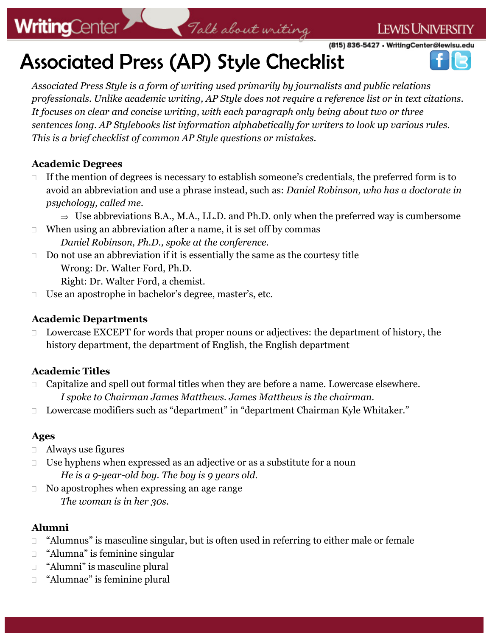# **WritingCenter**

(815) 836-5427 • WritingCenter@lewisu.edu

**LEWIS UNIVERSITY** 

# WritingCenter 7 Talk about writing

*Associated Press Style is a form of writing used primarily by journalists and public relations professionals. Unlike academic writing, AP Style does not require a reference list or in text citations. It focuses on clear and concise writing, with each paragraph only being about two or three sentences long. AP Stylebooks list information alphabetically for writers to look up various rules. This is a brief checklist of common AP Style questions or mistakes.*

#### **Academic Degrees**

- $\Box$  If the mention of degrees is necessary to establish someone's credentials, the preferred form is to avoid an abbreviation and use a phrase instead, such as: *Daniel Robinson, who has a doctorate in psychology, called me.*
	- $\Rightarrow$  Use abbreviations B.A., M.A., LL.D. and Ph.D. only when the preferred way is cumbersome
- $\Box$  When using an abbreviation after a name, it is set off by commas *Daniel Robinson, Ph.D., spoke at the conference.*
- $\Box$  Do not use an abbreviation if it is essentially the same as the courtesy title Wrong: Dr. Walter Ford, Ph.D.

Right: Dr. Walter Ford, a chemist.

□ Use an apostrophe in bachelor's degree, master's, etc.

#### **Academic Departments**

 Lowercase EXCEPT for words that proper nouns or adjectives: the department of history, the history department, the department of English, the English department

#### **Academic Titles**

- □ Capitalize and spell out formal titles when they are before a name. Lowercase elsewhere. *I spoke to Chairman James Matthews. James Matthews is the chairman.*
- □ Lowercase modifiers such as "department" in "department Chairman Kyle Whitaker."

#### **Ages**

- Always use figures
- $\Box$  Use hyphens when expressed as an adjective or as a substitute for a noun *He is a 9-year-old boy. The boy is 9 years old.*
- □ No apostrophes when expressing an age range *The woman is in her 30s.*

### **Alumni**

- □ "Alumnus" is masculine singular, but is often used in referring to either male or female
- □ "Alumna" is feminine singular
- "Alumni" is masculine plural
- "Alumnae" is feminine plural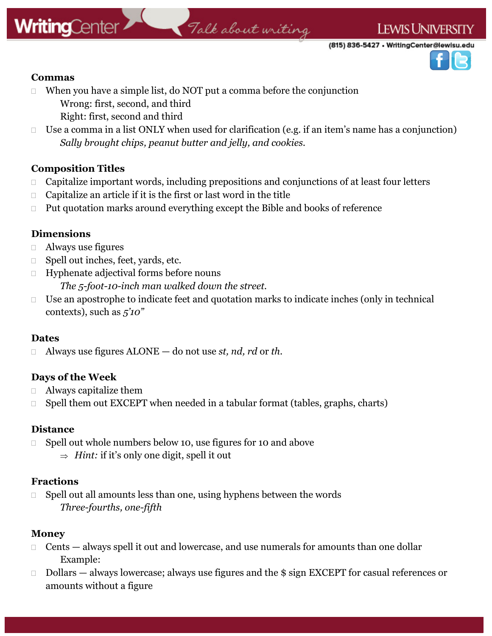## **WritingCenter**

#### **LEWIS UNIVERSITY**

(815) 836-5427 • WritingCenter@lewisu.edu



#### **Commas**

- When you have a simple list, do NOT put a comma before the conjunction Wrong: first, second, and third
	- Right: first, second and third
- Use a comma in a list ONLY when used for clarification (e.g. if an item's name has a conjunction) *Sally brought chips, peanut butter and jelly, and cookies.*

Talk about writing

#### **Composition Titles**

- $\Box$  Capitalize important words, including prepositions and conjunctions of at least four letters
- $\Box$  Capitalize an article if it is the first or last word in the title
- $\Box$  Put quotation marks around everything except the Bible and books of reference

#### **Dimensions**

- Always use figures
- □ Spell out inches, feet, yards, etc.
- Hyphenate adjectival forms before nouns *The 5-foot-10-inch man walked down the street.*
- $\Box$  Use an apostrophe to indicate feet and quotation marks to indicate inches (only in technical contexts), such as *5'10"*

#### **Dates**

Always use figures ALONE — do not use *st, nd, rd* or *th*.

#### **Days of the Week**

- Always capitalize them
- $\Box$  Spell them out EXCEPT when needed in a tabular format (tables, graphs, charts)

#### **Distance**

- □ Spell out whole numbers below 10, use figures for 10 and above
	- $\Rightarrow$  *Hint:* if it's only one digit, spell it out

#### **Fractions**

 $\Box$  Spell out all amounts less than one, using hyphens between the words *Three-fourths, one-fifth*

#### **Money**

- $\Box$  Cents always spell it out and lowercase, and use numerals for amounts than one dollar Example:
- $\Box$  Dollars always lowercase; always use figures and the \$ sign EXCEPT for casual references or amounts without a figure